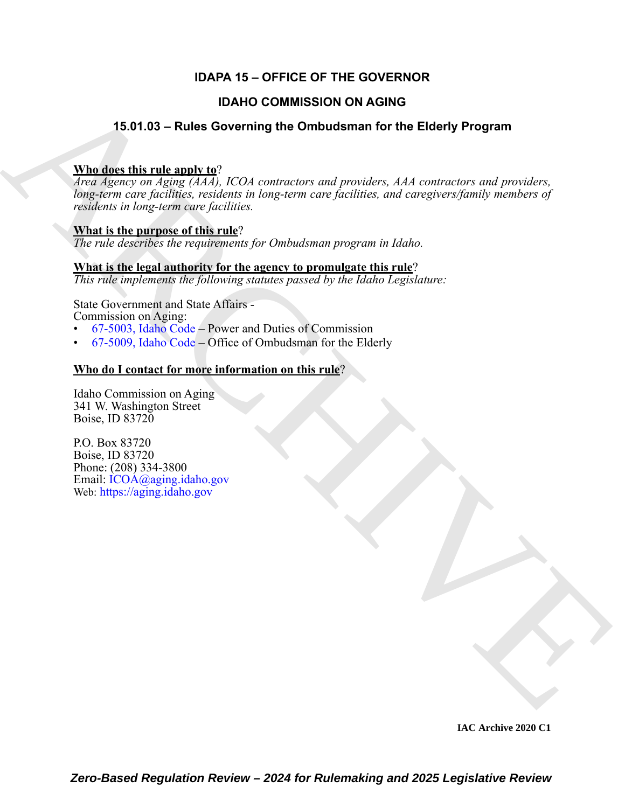## **IDAPA 15 – OFFICE OF THE GOVERNOR**

### **IDAHO COMMISSION ON AGING**

## **15.01.03 – Rules Governing the Ombudsman for the Elderly Program**

### **Who does this rule apply to**?

**IDAHO COMMISSION ON AGING**<br> **A[RC](https://legislature.idaho.gov/statutesrules/idstat/Title67/T67CH50/SECT67-5003/)[HIV](mailto: ICOA@aging.idaho.gov)E THE SUBSECONDITY OF A CONDUCTION** TO the Elderly Program<br> **ARCHIVE TO THE SUBSECT OF A CONDUCT**<br> **ARCHIVE TO THE CONDUCT**<br> **ARCHIVE TO THE CONDUCTION** COMMISSION INDUCTS AND CONDUCT T *Area Agency on Aging (AAA), ICOA contractors and providers, AAA contractors and providers, long-term care facilities, residents in long-term care facilities, and caregivers/family members of residents in long-term care facilities.*

# **What is the purpose of this rule**?

*The rule describes the requirements for Ombudsman program in Idaho.*

### **What is the legal authority for the agency to promulgate this rule**?

*This rule implements the following statutes passed by the Idaho Legislature:*

State Government and State Affairs - Commission on Aging:

- 67-5003, Idaho Code Power and Duties of Commission
- 67-5009, Idaho Code Office of Ombudsman for the Elderly

### **Who do I contact for more information on this rule**?

Idaho Commission on Aging 341 W. Washington Street Boise, ID 83720

P.O. Box 83720 Boise, ID 83720 Phone: (208) 334-3800 Email: ICOA@aging.idaho.gov Web: https://aging.idaho.gov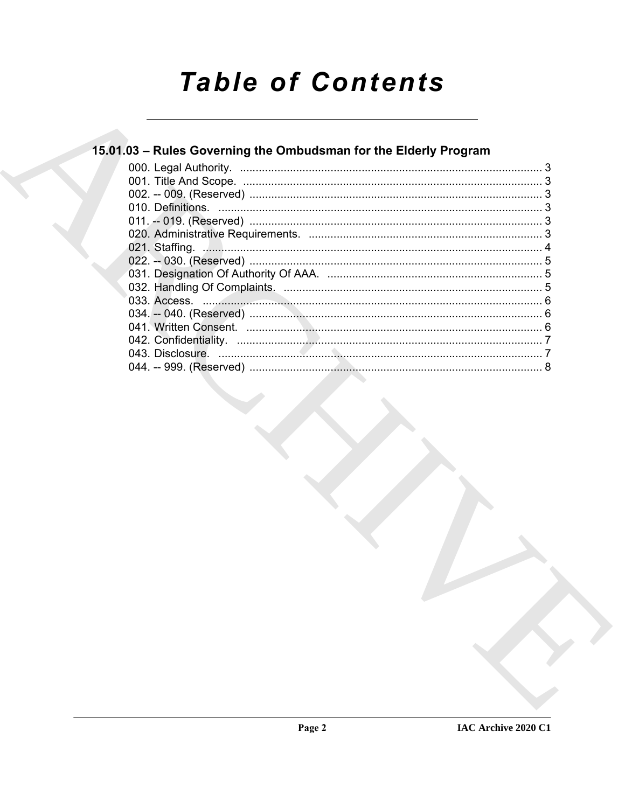# **Table of Contents**

# 15.01.03 - Rules Governing the Ombudsman for the Elderly Program

| 043. Disclosure. |  |
|------------------|--|
|                  |  |
|                  |  |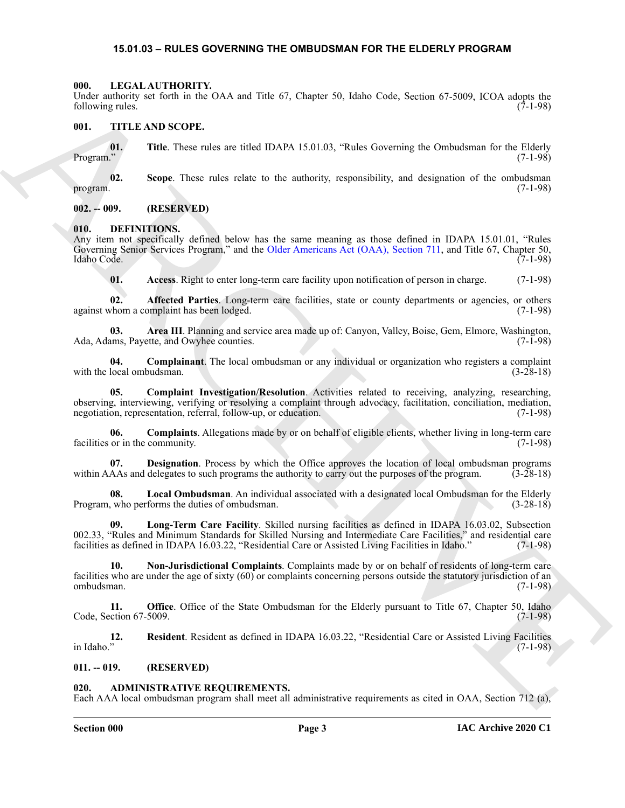#### <span id="page-2-21"></span>**15.01.03 – RULES GOVERNING THE OMBUDSMAN FOR THE ELDERLY PROGRAM**

#### <span id="page-2-1"></span><span id="page-2-0"></span>**000. LEGAL AUTHORITY.**

Under authority set forth in the OAA and Title 67, Chapter 50, Idaho Code, Section 67-5009, ICOA adopts the following rules. (7-1-98)

#### <span id="page-2-22"></span><span id="page-2-2"></span>**001. TITLE AND SCOPE.**

**01.** Title. These rules are titled IDAPA 15.01.03, "Rules Governing the Ombudsman for the Elderly (7-1-98) Program." (7-1-98)

**02. Scope**. These rules relate to the authority, responsibility, and designation of the ombudsman program. (7-1-98)

#### <span id="page-2-3"></span>**002. -- 009. (RESERVED)**

#### <span id="page-2-8"></span><span id="page-2-4"></span>**010. DEFINITIONS.**

Any item not specifically defined below has the same meaning as those defined in IDAPA 15.01.01, "Rules Governing Senior Services Program," and the Older Americans Act (OAA), Section 711, and Title 67, Chapter 50, Idaho Code. (7-1-98) Idaho Code. (7-1-98)

<span id="page-2-11"></span><span id="page-2-10"></span><span id="page-2-9"></span>**01. Access**. Right to enter long-term care facility upon notification of person in charge. (7-1-98)

**02. Affected Parties**. Long-term care facilities, state or county departments or agencies, or others whom a complaint has been lodged. (7-1-98) against whom a complaint has been lodged.

**03.** Area III. Planning and service area made up of: Canyon, Valley, Boise, Gem, Elmore, Washington, ams, Payette, and Owyhee counties. (7-1-98) Ada, Adams, Payette, and Owyhee counties.

<span id="page-2-13"></span><span id="page-2-12"></span>**04. Complainant**. The local ombudsman or any individual or organization who registers a complaint with the local ombudsman.  $(3-28-18)$ 

Using such that the OAA and Table 87, Clopse 30, blocks (see the OAA start) (60 August 2008). EVOA start 1.6<br>
When the US SCOPE.<br>
The Thin Table Theoretics are used IDAPA 15.01.05, "Books Covereing the Oakbehama for the B **05. Complaint Investigation/Resolution**. Activities related to receiving, analyzing, researching, observing, interviewing, verifying or resolving a complaint through advocacy, facilitation, conciliation, mediation, negotiation, representation, referral, follow-up, or education. (7-1-98)

<span id="page-2-14"></span>**06. Complaints**. Allegations made by or on behalf of eligible clients, whether living in long-term care facilities or in the community. (7-1-98)

<span id="page-2-15"></span>**07. Designation**. Process by which the Office approves the location of local ombudsman programs within AAAs and delegates to such programs the authority to carry out the purposes of the program. (3-28-18)

<span id="page-2-16"></span>**08. Local Ombudsman**. An individual associated with a designated local Ombudsman for the Elderly Program, who performs the duties of ombudsman. (3-28-18)

<span id="page-2-17"></span>**09. Long-Term Care Facility**. Skilled nursing facilities as defined in IDAPA 16.03.02, Subsection 002.33, "Rules and Minimum Standards for Skilled Nursing and Intermediate Care Facilities," and residential care facilities as defined in IDAPA 16.03.22, "Residential Care or Assisted Living Facilities in Idaho." (7-1-98) facilities as defined in IDAPA 16.03.22, "Residential Care or Assisted Living Facilities in Idaho."

<span id="page-2-18"></span>**10. Non-Jurisdictional Complaints**. Complaints made by or on behalf of residents of long-term care facilities who are under the age of sixty (60) or complaints concerning persons outside the statutory jurisdiction of an ombudsman. (7-1-98)

<span id="page-2-19"></span>**11. Office**. Office of the State Ombudsman for the Elderly pursuant to Title 67, Chapter 50, Idaho Code, Section 67-5009. (7-1-98)

<span id="page-2-20"></span>**12.** Resident. Resident as defined in IDAPA 16.03.22, "Residential Care or Assisted Living Facilities (7-1-98) in Idaho." (7-1-98)

#### <span id="page-2-5"></span>**011. -- 019. (RESERVED)**

#### <span id="page-2-7"></span><span id="page-2-6"></span>**020. ADMINISTRATIVE REQUIREMENTS.**

Each AAA local ombudsman program shall meet all administrative requirements as cited in OAA, Section 712 (a),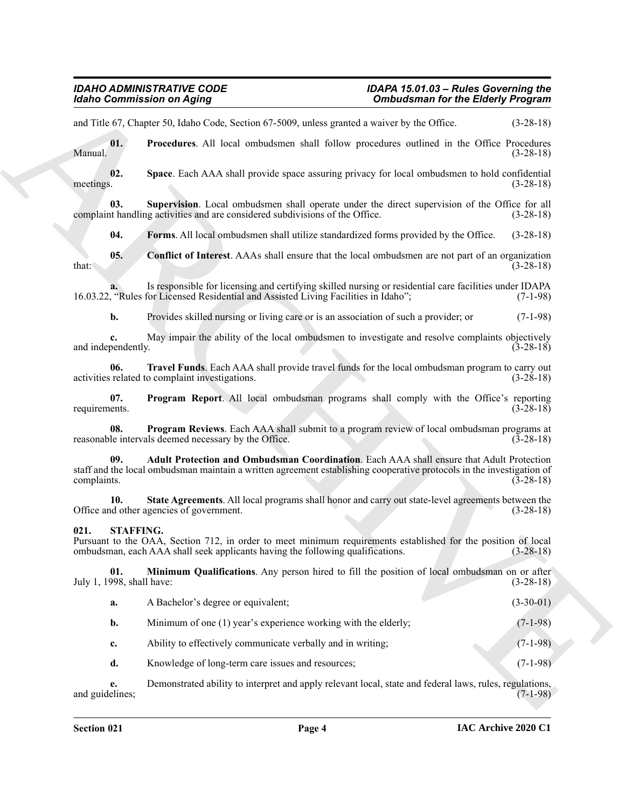#### <span id="page-3-12"></span><span id="page-3-11"></span><span id="page-3-10"></span><span id="page-3-8"></span><span id="page-3-6"></span><span id="page-3-5"></span><span id="page-3-1"></span><span id="page-3-0"></span>**021. STAFFING.**

<span id="page-3-9"></span><span id="page-3-7"></span><span id="page-3-4"></span><span id="page-3-3"></span><span id="page-3-2"></span>

|                                  | <b>Idaho Commission on Aging</b>                                                                                                                                                                                  | <b>Ombudsman for the Elderly Program</b> |             |
|----------------------------------|-------------------------------------------------------------------------------------------------------------------------------------------------------------------------------------------------------------------|------------------------------------------|-------------|
|                                  | and Title 67, Chapter 50, Idaho Code, Section 67-5009, unless granted a waiver by the Office.                                                                                                                     |                                          | $(3-28-18)$ |
| 01.<br>Manual.                   | Procedures. All local ombudsmen shall follow procedures outlined in the Office Procedures                                                                                                                         |                                          | $(3-28-18)$ |
| 02.<br>meetings.                 | Space. Each AAA shall provide space assuring privacy for local ombudsmen to hold confidential                                                                                                                     |                                          | $(3-28-18)$ |
| 03.                              | Supervision. Local ombudsmen shall operate under the direct supervision of the Office for all<br>complaint handling activities and are considered subdivisions of the Office.                                     |                                          | $(3-28-18)$ |
| 04.                              | Forms. All local ombudsmen shall utilize standardized forms provided by the Office.                                                                                                                               |                                          | $(3-28-18)$ |
| 05.<br>that:                     | <b>Conflict of Interest.</b> AAAs shall ensure that the local ombudsmen are not part of an organization                                                                                                           |                                          | $(3-28-18)$ |
|                                  | Is responsible for licensing and certifying skilled nursing or residential care facilities under IDAPA<br>16.03.22, "Rules for Licensed Residential and Assisted Living Facilities in Idaho";                     |                                          | $(7-1-98)$  |
| b.                               | Provides skilled nursing or living care or is an association of such a provider; or                                                                                                                               |                                          | $(7-1-98)$  |
| c.<br>and independently.         | May impair the ability of the local ombudsmen to investigate and resolve complaints objectively                                                                                                                   |                                          | $(3-28-18)$ |
| 06.                              | Travel Funds. Each AAA shall provide travel funds for the local ombudsman program to carry out<br>activities related to complaint investigations.                                                                 |                                          | $(3-28-18)$ |
| 07.<br>requirements.             | Program Report. All local ombudsman programs shall comply with the Office's reporting                                                                                                                             |                                          | $(3-28-18)$ |
| 08.                              | Program Reviews. Each AAA shall submit to a program review of local ombudsman programs at<br>reasonable intervals deemed necessary by the Office.                                                                 |                                          | $(3-28-18)$ |
| 09.<br>complaints.               | Adult Protection and Ombudsman Coordination. Each AAA shall ensure that Adult Protection<br>staff and the local ombudsman maintain a written agreement establishing cooperative protocols in the investigation of |                                          | $(3-28-18)$ |
| 10.                              | State Agreements. All local programs shall honor and carry out state-level agreements between the<br>Office and other agencies of government.                                                                     |                                          | $(3-28-18)$ |
| 021.<br><b>STAFFING.</b>         | Pursuant to the OAA, Section 712, in order to meet minimum requirements established for the position of local<br>ombudsman, each AAA shall seek applicants having the following qualifications.                   |                                          | $(3-28-18)$ |
| 01.<br>July 1, 1998, shall have: | Minimum Qualifications. Any person hired to fill the position of local ombudsman on or after                                                                                                                      |                                          | $(3-28-18)$ |
| a.                               | A Bachelor's degree or equivalent;                                                                                                                                                                                |                                          | $(3-30-01)$ |
| b.                               | Minimum of one (1) year's experience working with the elderly;                                                                                                                                                    |                                          | $(7-1-98)$  |
| c.                               | Ability to effectively communicate verbally and in writing;                                                                                                                                                       |                                          | $(7-1-98)$  |
| d.                               | Knowledge of long-term care issues and resources;                                                                                                                                                                 |                                          | $(7-1-98)$  |
| e.                               | Demonstrated ability to interpret and apply relevant local, state and federal laws, rules, regulations,                                                                                                           |                                          | $(7-1-98)$  |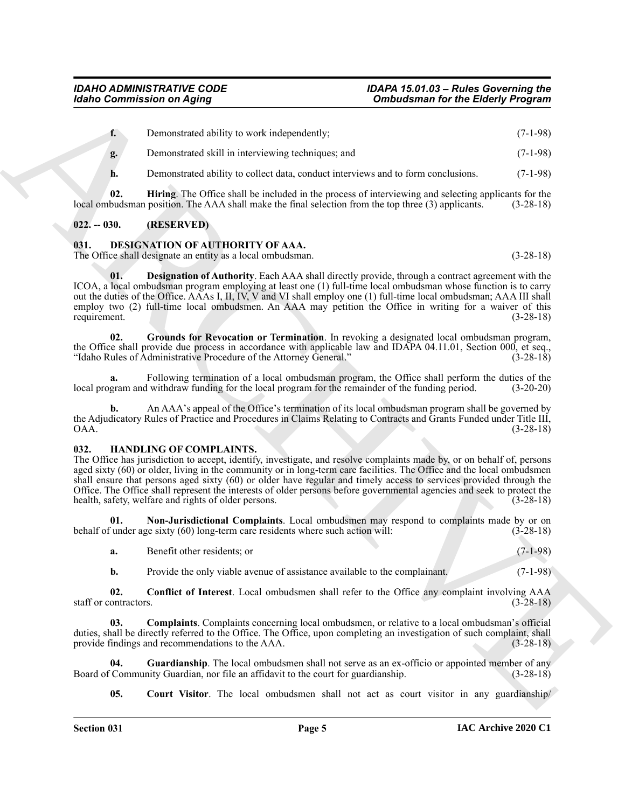**f.** Demonstrated ability to work independently; (7-1-98) **g.** Demonstrated skill in interviewing techniques; and (7-1-98)

<span id="page-4-12"></span>**h.** Demonstrated ability to collect data, conduct interviews and to form conclusions. (7-1-98)

**02. Hiring**. The Office shall be included in the process of interviewing and selecting applicants for the local ombudsman position. The AAA shall make the final selection from the top three (3) applicants. (3-28-18)

#### <span id="page-4-0"></span>**022. -- 030. (RESERVED)**

#### <span id="page-4-3"></span><span id="page-4-1"></span>**031. DESIGNATION OF AUTHORITY OF AAA.**

<span id="page-4-4"></span>The Office shall designate an entity as a local ombudsman. (3-28-18)

Gorino Commission on Aging<br>
1. Domestics of a state system and the properties of the Electron Commission (1-1-8)<br>
1. Domestics of all  $y$  overled and the commission conditions of the Electron Commission<br>
1. Domestics of a **01. Designation of Authority**. Each AAA shall directly provide, through a contract agreement with the ICOA, a local ombudsman program employing at least one (1) full-time local ombudsman whose function is to carry out the duties of the Office. AAAs I, II, IV, V and VI shall employ one (1) full-time local ombudsman; AAA III shall employ two (2) full-time local ombudsmen. An AAA may petition the Office in writing for a waiver of this requirement. (3-28-18)

<span id="page-4-5"></span>**02. Grounds for Revocation or Termination**. In revoking a designated local ombudsman program, the Office shall provide due process in accordance with applicable law and IDAPA 04.11.01, Section 000, et seq., "Idaho Rules of Administrative Procedure of the Attorney General." (3-28-18)

**a.** Following termination of a local ombudsman program, the Office shall perform the duties of the local program and withdraw funding for the local program for the remainder of the funding period. (3-20-20)

**b.** An AAA's appeal of the Office's termination of its local ombudsman program shall be governed by the Adjudicatory Rules of Practice and Procedures in Claims Relating to Contracts and Grants Funded under Title III,<br>(3-28-18) OAA. (3-28-18)

#### <span id="page-4-6"></span><span id="page-4-2"></span>**032. HANDLING OF COMPLAINTS.**

The Office has jurisdiction to accept, identify, investigate, and resolve complaints made by, or on behalf of, persons aged sixty (60) or older, living in the community or in long-term care facilities. The Office and the local ombudsmen shall ensure that persons aged sixty (60) or older have regular and timely access to services provided through the Office. The Office shall represent the interests of older persons before governmental agencies and seek to protect the health, safety, welfare and rights of older persons. (3-28-18)

**01. Non-Jurisdictional Complaints**. Local ombudsmen may respond to complaints made by or on behalf of under age sixty (60) long-term care residents where such action will: (3-28-18)

<span id="page-4-11"></span>

| а. | Benefit other residents: or |  |  |  | $\Omega$ |
|----|-----------------------------|--|--|--|----------|
|----|-----------------------------|--|--|--|----------|

<span id="page-4-8"></span><span id="page-4-7"></span>**b.** Provide the only viable avenue of assistance available to the complainant. (7-1-98)

**02. Conflict of Interest**. Local ombudsmen shall refer to the Office any complaint involving AAA staff or contractors. (3-28-18)

**03. Complaints**. Complaints concerning local ombudsmen, or relative to a local ombudsman's official duties, shall be directly referred to the Office. The Office, upon completing an investigation of such complaint, shall provide findings and recommendations to the AAA. (3-28-18)

**04.** Guardianship. The local ombudsmen shall not serve as an ex-officio or appointed member of any Community Guardian, nor file an affidavit to the court for guardianship. (3-28-18) Board of Community Guardian, nor file an affidavit to the court for guardianship.

<span id="page-4-10"></span><span id="page-4-9"></span>**05.** Court Visitor. The local ombudsmen shall not act as court visitor in any guardianship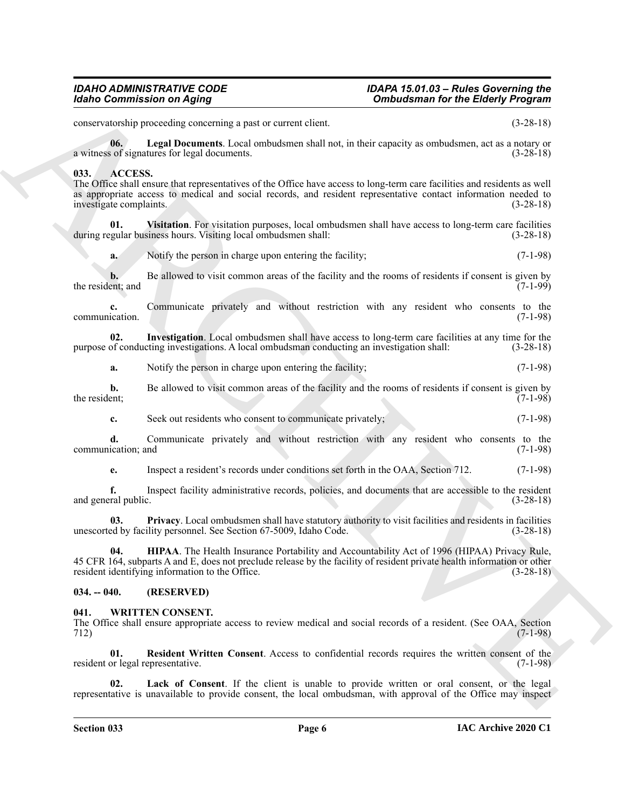conservatorship proceeding concerning a past or current client. (3-28-18)

<span id="page-5-8"></span>**06. Legal Documents**. Local ombudsmen shall not, in their capacity as ombudsmen, act as a notary or a witness of signatures for legal documents. (3-28-18)

#### <span id="page-5-3"></span><span id="page-5-0"></span>**033. ACCESS.**

The Office shall ensure that representatives of the Office have access to long-term care facilities and residents as well as appropriate access to medical and social records, and resident representative contact information needed to investigate complaints. (3-28-18)

**01. Visitation**. For visitation purposes, local ombudsmen shall have access to long-term care facilities during regular business hours. Visiting local ombudsmen shall: (3-28-18)

<span id="page-5-7"></span>**a.** Notify the person in charge upon entering the facility; (7-1-98)

**b.** Be allowed to visit common areas of the facility and the rooms of residents if consent is given by ent; and  $(7-1-99)$ the resident; and

**c.** Communicate privately and without restriction with any resident who consents to the election. (7-1-98) communication.

**02.** Investigation. Local ombudsmen shall have access to long-term care facilities at any time for the of conducting investigations. A local ombudsman conducting an investigation shall:  $(3-28-18)$ purpose of conducting investigations. A local ombudsman conducting an investigation shall:

<span id="page-5-5"></span>**a.** Notify the person in charge upon entering the facility; (7-1-98)

**b.** Be allowed to visit common areas of the facility and the rooms of residents if consent is given by the resident; (7-1-98) the resident;  $(7-1-98)$ 

**c.** Seek out residents who consent to communicate privately; (7-1-98)

**d.** Communicate privately and without restriction with any resident who consents to the communication; and (7-1-98)

<span id="page-5-6"></span>**e.** Inspect a resident's records under conditions set forth in the OAA, Section 712. (7-1-98)

**f.** Inspect facility administrative records, policies, and documents that are accessible to the resident and general public. (3-28-18)

<span id="page-5-4"></span>**03. Privacy**. Local ombudsmen shall have statutory authority to visit facilities and residents in facilities unescorted by facility personnel. See Section 67-5009, Idaho Code. (3-28-18)

Goria Communication on Agring "Consideration.<br>
Consideration in the Electron Pays of the Construction of the Construction of the Electron Construction of the Construction of the Construction of the Construction of the Con **04. HIPAA**. The Health Insurance Portability and Accountability Act of 1996 (HIPAA) Privacy Rule, 45 CFR 164, subparts A and E, does not preclude release by the facility of resident private health information or other resident identifying information to the Office. (3-28-18)

#### <span id="page-5-1"></span>**034. -- 040. (RESERVED)**

#### <span id="page-5-9"></span><span id="page-5-2"></span>**041. WRITTEN CONSENT.**

The Office shall ensure appropriate access to review medical and social records of a resident. (See OAA, Section 712) (7-1-98)

<span id="page-5-11"></span>**01. Resident Written Consent**. Access to confidential records requires the written consent of the resident or legal representative. (7-1-98)

<span id="page-5-10"></span>Lack of Consent. If the client is unable to provide written or oral consent, or the legal representative is unavailable to provide consent, the local ombudsman, with approval of the Office may inspect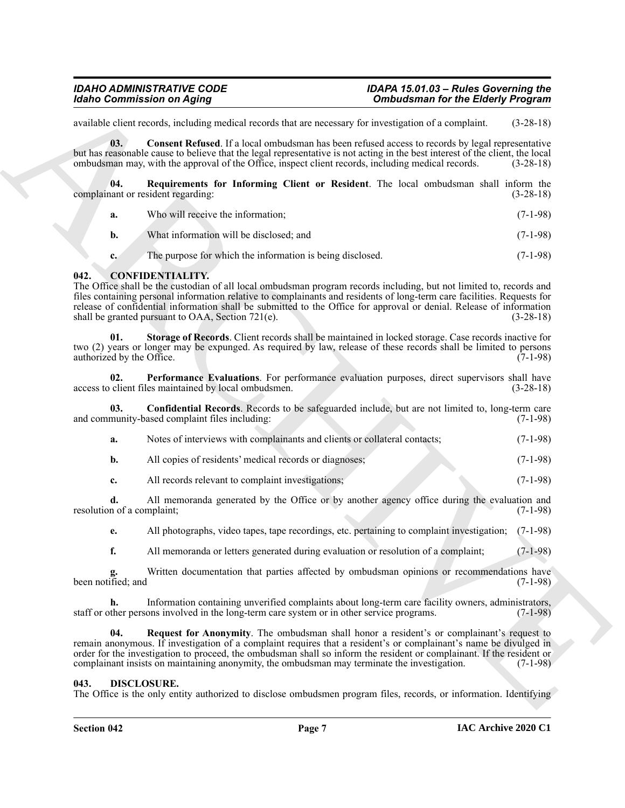available client records, including medical records that are necessary for investigation of a complaint. (3-28-18)

<span id="page-6-8"></span>**03. Consent Refused**. If a local ombudsman has been refused access to records by legal representative but has reasonable cause to believe that the legal representative is not acting in the best interest of the client, the local ombudsman may, with the approval of the Office, inspect client records, including medical records. (3-28-18)

**04. Requirements for Informing Client or Resident**. The local ombudsman shall inform the complainant or resident regarding: (3-28-18)

<span id="page-6-9"></span>

| а. | Who will receive the information:       | $(7-1-98)$ |
|----|-----------------------------------------|------------|
|    | What information will be disclosed; and | $(7-1-98)$ |

<span id="page-6-2"></span>**c.** The purpose for which the information is being disclosed. (7-1-98)

#### <span id="page-6-0"></span>**042. CONFIDENTIALITY.**

**Example Continues on Aging Consideration** of **Consideration** for the Bidely Programs could be a section to the section of the consideration of the Example of the Constraint Constraint Constraint Constraint Constraint Co The Office shall be the custodian of all local ombudsman program records including, but not limited to, records and files containing personal information relative to complainants and residents of long-term care facilities. Requests for release of confidential information shall be submitted to the Office for approval or denial. Release of information shall be granted pursuant to OAA, Section 721(e).

<span id="page-6-6"></span>**01. Storage of Records**. Client records shall be maintained in locked storage. Case records inactive for two (2) years or longer may be expunged. As required by law, release of these records shall be limited to persons authorized by the Office. (7-1-98)

<span id="page-6-4"></span>**02. Performance Evaluations**. For performance evaluation purposes, direct supervisors shall have access to client files maintained by local ombudsmen. (3-28-18)

**03. Confidential Records**. Records to be safeguarded include, but are not limited to, long-term care and community-based complaint files including: (7-1-98) (7-1-98)

<span id="page-6-3"></span>

| Notes of interviews with complainants and clients or collateral contacts; | $(7-1-98)$ |
|---------------------------------------------------------------------------|------------|
| All copies of residents' medical records or diagnoses:                    | $(7-1-98)$ |

**c.** All records relevant to complaint investigations; (7-1-98)

**d.** All memoranda generated by the Office or by another agency office during the evaluation and resolution of a complaint; (7-1-98)

**e.** All photographs, video tapes, tape recordings, etc. pertaining to complaint investigation; (7-1-98)

**f.** All memoranda or letters generated during evaluation or resolution of a complaint; (7-1-98)

Written documentation that parties affected by ombudsman opinions or recommendations have (7-1-98) g.<br>been notified; and

**h.** Information containing unverified complaints about long-term care facility owners, administrators, staff or other persons involved in the long-term care system or in other service programs. (7-1-98)

<span id="page-6-5"></span>**04. Request for Anonymity**. The ombudsman shall honor a resident's or complainant's request to remain anonymous. If investigation of a complaint requires that a resident's or complainant's name be divulged in order for the investigation to proceed, the ombudsman shall so inform the resident or complainant. If the resident or complainant insists on maintaining anonymity, the ombudsman may terminate the investigation. (7-1-98)

#### <span id="page-6-7"></span><span id="page-6-1"></span>**043. DISCLOSURE.**

The Office is the only entity authorized to disclose ombudsmen program files, records, or information. Identifying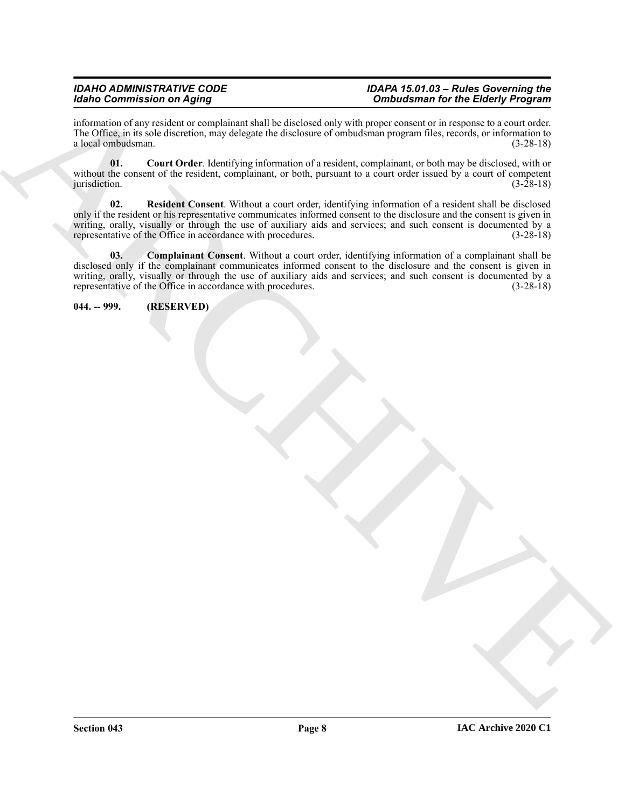information of any resident or complainant shall be disclosed only with proper consent or in response to a court order. The Office, in its sole discretion, may delegate the disclosure of ombudsman program files, records, or information to a local ombudsman. (3-28-18) a local ombudsman.

<span id="page-7-3"></span><span id="page-7-2"></span>**01. Court Order**. Identifying information of a resident, complainant, or both may be disclosed, with or without the consent of the resident, complainant, or both, pursuant to a court order issued by a court of competent jurisdiction. (3-28-18)  $j$ urisdiction. (3-28-18)

Graduate control of the state of the state of the state of the state of the state of the state of the state of the state of the state of the state of the state of the state of the state of the state of the state of the st **02. Resident Consent**. Without a court order, identifying information of a resident shall be disclosed only if the resident or his representative communicates informed consent to the disclosure and the consent is given in writing, orally, visually or through the use of auxiliary aids and services; and such consent is documented by a representative of the Office in accordance with procedures. (3-28-18) representative of the Office in accordance with procedures.

<span id="page-7-1"></span>**03. Complainant Consent**. Without a court order, identifying information of a complainant shall be disclosed only if the complainant communicates informed consent to the disclosure and the consent is given in writing, orally, visually or through the use of auxiliary aids and services; and such consent is documented by a representative of the Office in accordance with procedures. (3-28-18) representative of the Office in accordance with procedures.

<span id="page-7-0"></span>**044. -- 999. (RESERVED)**